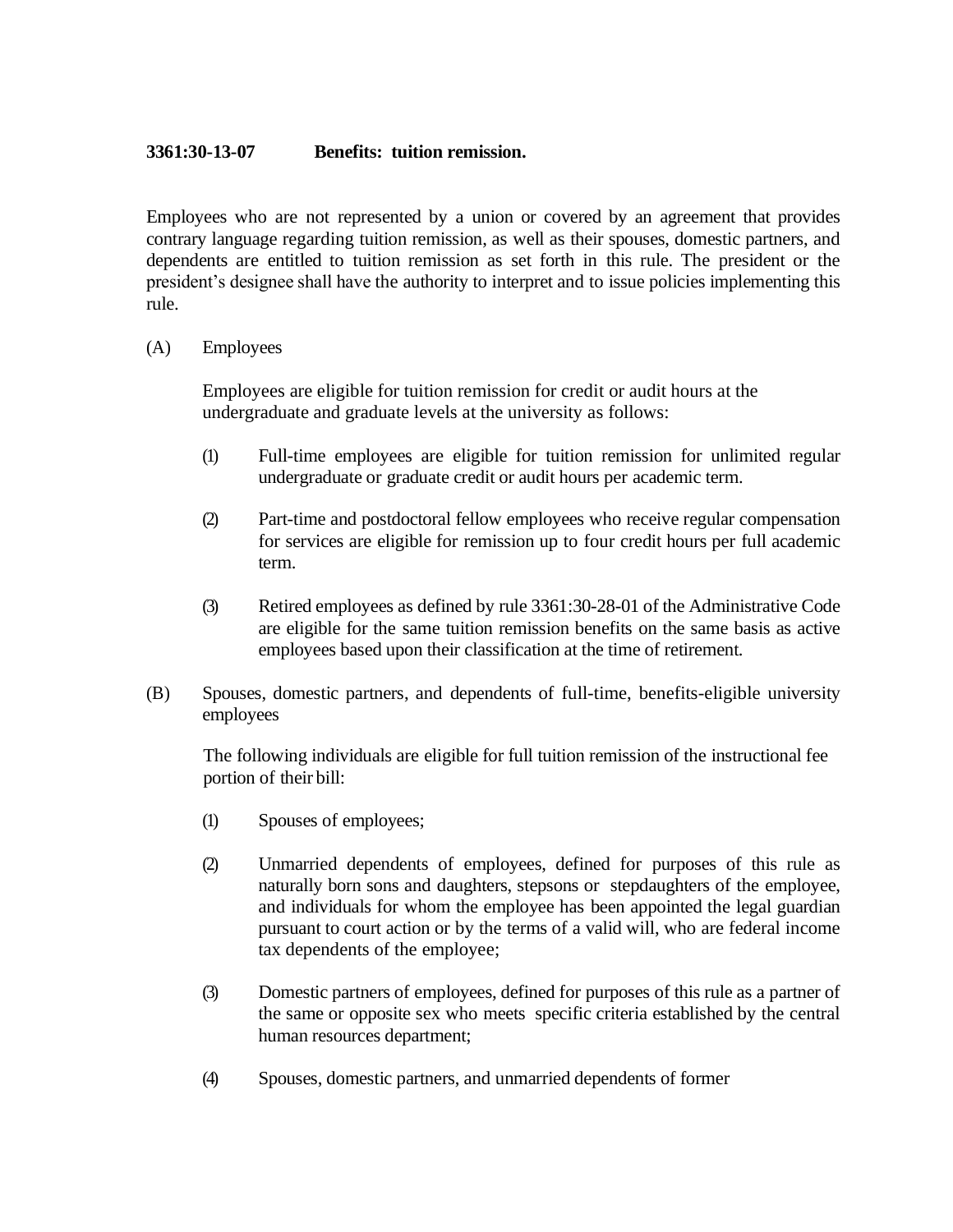## **3361:30-13-07 Benefits: tuition remission.**

Employees who are not represented by a union or covered by an agreement that provides contrary language regarding tuition remission, as well as their spouses, domestic partners, and dependents are entitled to tuition remission as set forth in this rule. The president or the president's designee shall have the authority to interpret and to issue policies implementing this rule.

## (A) Employees

Employees are eligible for tuition remission for credit or audit hours at the undergraduate and graduate levels at the university as follows:

- (1) Full-time employees are eligible for tuition remission for unlimited regular undergraduate or graduate credit or audit hours per academic term.
- (2) Part-time and postdoctoral fellow employees who receive regular compensation for services are eligible for remission up to four credit hours per full academic term.
- (3) Retired employees as defined by rule 3361:30-28-01 of the Administrative Code are eligible for the same tuition remission benefits on the same basis as active employees based upon their classification at the time of retirement.
- (B) Spouses, domestic partners, and dependents of full-time, benefits-eligible university employees

The following individuals are eligible for full tuition remission of the instructional fee portion of their bill:

- (1) Spouses of employees;
- (2) Unmarried dependents of employees, defined for purposes of this rule as naturally born sons and daughters, stepsons or stepdaughters of the employee, and individuals for whom the employee has been appointed the legal guardian pursuant to court action or by the terms of a valid will, who are federal income tax dependents of the employee;
- (3) Domestic partners of employees, defined for purposes of this rule as a partner of the same or opposite sex who meets specific criteria established by the central human resources department;
- (4) Spouses, domestic partners, and unmarried dependents of former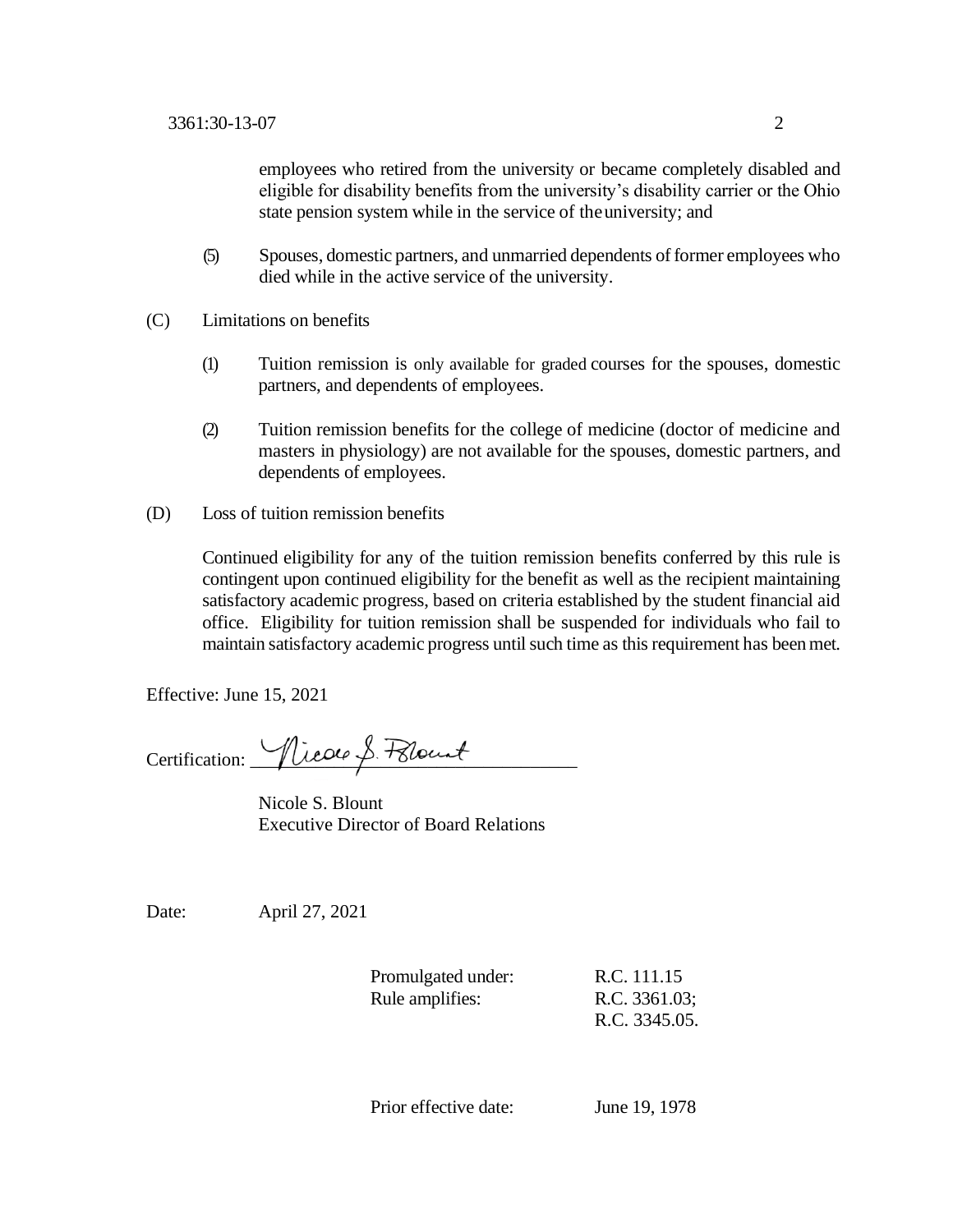employees who retired from the university or became completely disabled and eligible for disability benefits from the university's disability carrier or the Ohio state pension system while in the service of theuniversity; and

- (5) Spouses, domestic partners, and unmarried dependents of former employees who died while in the active service of the university.
- (C) Limitations on benefits
	- (1) Tuition remission is only available for graded courses for the spouses, domestic partners, and dependents of employees.
	- (2) Tuition remission benefits for the college of medicine (doctor of medicine and masters in physiology) are not available for the spouses, domestic partners, and dependents of employees.
- (D) Loss of tuition remission benefits

Continued eligibility for any of the tuition remission benefits conferred by this rule is contingent upon continued eligibility for the benefit as well as the recipient maintaining satisfactory academic progress, based on criteria established by the student financial aid office. Eligibility for tuition remission shall be suspended for individuals who fail to maintain satisfactory academic progress until such time as this requirement has beenmet.

Effective: June 15, 2021

Certification: <u>Nicole</u> S. Felount

Nicole S. Blount Executive Director of Board Relations

Date: April 27, 2021

| Promulgated under: | R.C. 111.15   |
|--------------------|---------------|
| Rule amplifies:    | R.C. 3361.03; |
|                    | R.C. 3345.05. |

Prior effective date: June 19, 1978